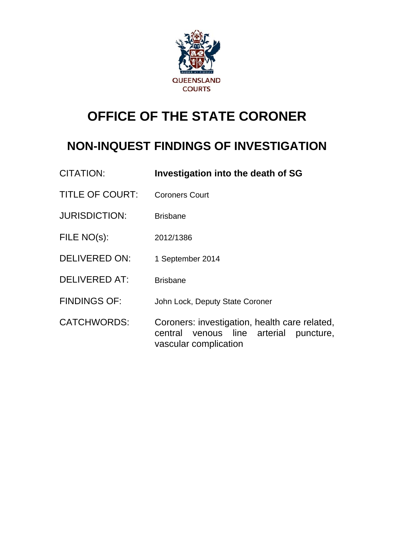

# **OFFICE OF THE STATE CORONER**

## **NON-INQUEST FINDINGS OF INVESTIGATION**

- CITATION: **Investigation into the death of SG**
- TITLE OF COURT: Coroners Court
- JURISDICTION: Brisbane
- FILE NO(s): 2012/1386
- DELIVERED ON: 1 September 2014
- DELIVERED AT: Brisbane
- FINDINGS OF: John Lock, Deputy State Coroner
- CATCHWORDS: Coroners: investigation, health care related, central venous line arterial puncture, vascular complication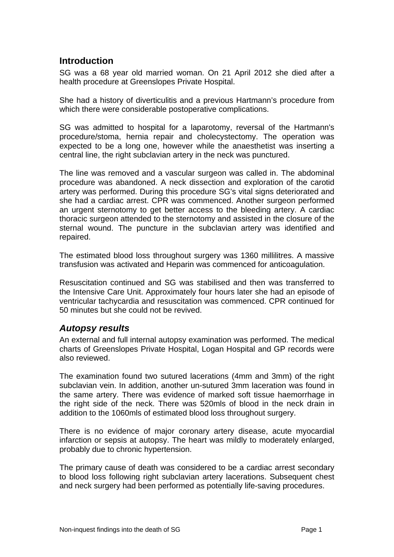## **Introduction**

SG was a 68 year old married woman. On 21 April 2012 she died after a health procedure at Greenslopes Private Hospital.

She had a history of diverticulitis and a previous Hartmann's procedure from which there were considerable postoperative complications.

SG was admitted to hospital for a laparotomy, reversal of the Hartmann's procedure/stoma, hernia repair and cholecystectomy. The operation was expected to be a long one, however while the anaesthetist was inserting a central line, the right subclavian artery in the neck was punctured.

The line was removed and a vascular surgeon was called in. The abdominal procedure was abandoned. A neck dissection and exploration of the carotid artery was performed. During this procedure SG's vital signs deteriorated and she had a cardiac arrest. CPR was commenced. Another surgeon performed an urgent sternotomy to get better access to the bleeding artery. A cardiac thoracic surgeon attended to the sternotomy and assisted in the closure of the sternal wound. The puncture in the subclavian artery was identified and repaired.

The estimated blood loss throughout surgery was 1360 millilitres. A massive transfusion was activated and Heparin was commenced for anticoagulation.

Resuscitation continued and SG was stabilised and then was transferred to the Intensive Care Unit. Approximately four hours later she had an episode of ventricular tachycardia and resuscitation was commenced. CPR continued for 50 minutes but she could not be revived.

## *Autopsy results*

An external and full internal autopsy examination was performed. The medical charts of Greenslopes Private Hospital, Logan Hospital and GP records were also reviewed.

The examination found two sutured lacerations (4mm and 3mm) of the right subclavian vein. In addition, another un-sutured 3mm laceration was found in the same artery. There was evidence of marked soft tissue haemorrhage in the right side of the neck. There was 520mls of blood in the neck drain in addition to the 1060mls of estimated blood loss throughout surgery.

There is no evidence of major coronary artery disease, acute myocardial infarction or sepsis at autopsy. The heart was mildly to moderately enlarged, probably due to chronic hypertension.

The primary cause of death was considered to be a cardiac arrest secondary to blood loss following right subclavian artery lacerations. Subsequent chest and neck surgery had been performed as potentially life-saving procedures.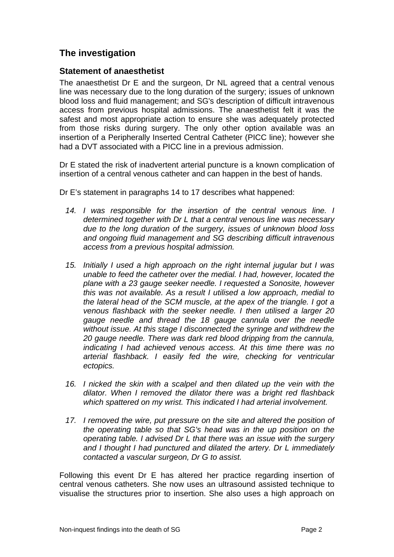## **The investigation**

#### **Statement of anaesthetist**

The anaesthetist Dr E and the surgeon, Dr NL agreed that a central venous line was necessary due to the long duration of the surgery; issues of unknown blood loss and fluid management; and SG's description of difficult intravenous access from previous hospital admissions. The anaesthetist felt it was the safest and most appropriate action to ensure she was adequately protected from those risks during surgery. The only other option available was an insertion of a Peripherally Inserted Central Catheter (PICC line); however she had a DVT associated with a PICC line in a previous admission.

Dr E stated the risk of inadvertent arterial puncture is a known complication of insertion of a central venous catheter and can happen in the best of hands.

Dr E's statement in paragraphs 14 to 17 describes what happened:

- *14. I was responsible for the insertion of the central venous line. I determined together with Dr L that a central venous line was necessary due to the long duration of the surgery, issues of unknown blood loss and ongoing fluid management and SG describing difficult intravenous access from a previous hospital admission.*
- *15. Initially I used a high approach on the right internal jugular but I was unable to feed the catheter over the medial. I had, however, located the plane with a 23 gauge seeker needle. I requested a Sonosite, however this was not available. As a result I utilised a low approach, medial to the lateral head of the SCM muscle, at the apex of the triangle. I got a venous flashback with the seeker needle. I then utilised a larger 20 gauge needle and thread the 18 gauge cannula over the needle without issue. At this stage I disconnected the syringe and withdrew the 20 gauge needle. There was dark red blood dripping from the cannula, indicating I had achieved venous access. At this time there was no arterial flashback. I easily fed the wire, checking for ventricular ectopics.*
- *16. I nicked the skin with a scalpel and then dilated up the vein with the dilator. When I removed the dilator there was a bright red flashback which spattered on my wrist. This indicated I had arterial involvement.*
- *17. I removed the wire, put pressure on the site and altered the position of the operating table so that SG's head was in the up position on the operating table. I advised Dr L that there was an issue with the surgery and I thought I had punctured and dilated the artery. Dr L immediately contacted a vascular surgeon, Dr G to assist.*

Following this event Dr E has altered her practice regarding insertion of central venous catheters. She now uses an ultrasound assisted technique to visualise the structures prior to insertion. She also uses a high approach on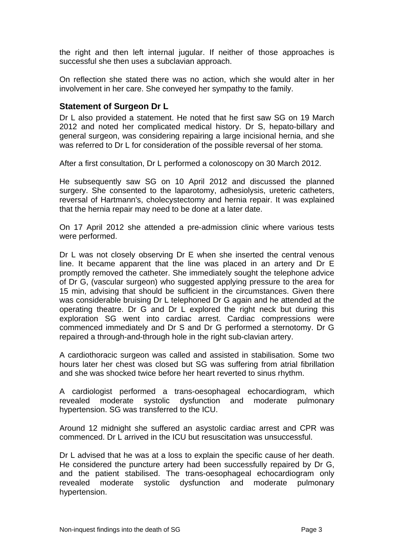the right and then left internal jugular. If neither of those approaches is successful she then uses a subclavian approach.

On reflection she stated there was no action, which she would alter in her involvement in her care. She conveyed her sympathy to the family.

#### **Statement of Surgeon Dr L**

Dr L also provided a statement. He noted that he first saw SG on 19 March 2012 and noted her complicated medical history. Dr S, hepato-billary and general surgeon, was considering repairing a large incisional hernia, and she was referred to Dr L for consideration of the possible reversal of her stoma.

After a first consultation, Dr L performed a colonoscopy on 30 March 2012.

He subsequently saw SG on 10 April 2012 and discussed the planned surgery. She consented to the laparotomy, adhesiolysis, ureteric catheters, reversal of Hartmann's, cholecystectomy and hernia repair. It was explained that the hernia repair may need to be done at a later date.

On 17 April 2012 she attended a pre-admission clinic where various tests were performed.

Dr L was not closely observing Dr E when she inserted the central venous line. It became apparent that the line was placed in an artery and Dr E promptly removed the catheter. She immediately sought the telephone advice of Dr G, (vascular surgeon) who suggested applying pressure to the area for 15 min, advising that should be sufficient in the circumstances. Given there was considerable bruising Dr L telephoned Dr G again and he attended at the operating theatre. Dr G and Dr L explored the right neck but during this exploration SG went into cardiac arrest. Cardiac compressions were commenced immediately and Dr S and Dr G performed a sternotomy. Dr G repaired a through-and-through hole in the right sub-clavian artery.

A cardiothoracic surgeon was called and assisted in stabilisation. Some two hours later her chest was closed but SG was suffering from atrial fibrillation and she was shocked twice before her heart reverted to sinus rhythm.

A cardiologist performed a trans-oesophageal echocardiogram, which revealed moderate systolic dysfunction and moderate pulmonary hypertension. SG was transferred to the ICU.

Around 12 midnight she suffered an asystolic cardiac arrest and CPR was commenced. Dr L arrived in the ICU but resuscitation was unsuccessful.

Dr L advised that he was at a loss to explain the specific cause of her death. He considered the puncture artery had been successfully repaired by Dr G, and the patient stabilised. The trans-oesophageal echocardiogram only revealed moderate systolic dysfunction and moderate pulmonary hypertension.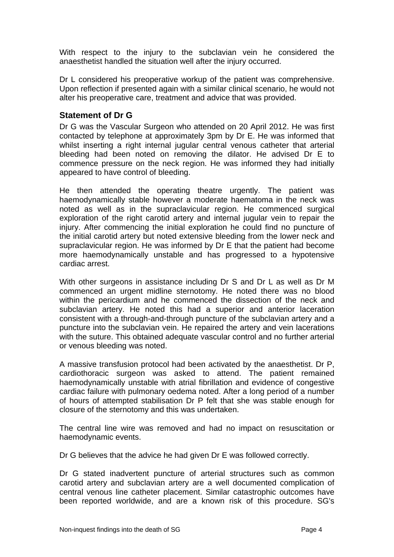With respect to the injury to the subclavian vein he considered the anaesthetist handled the situation well after the injury occurred.

Dr L considered his preoperative workup of the patient was comprehensive. Upon reflection if presented again with a similar clinical scenario, he would not alter his preoperative care, treatment and advice that was provided.

#### **Statement of Dr G**

Dr G was the Vascular Surgeon who attended on 20 April 2012. He was first contacted by telephone at approximately 3pm by Dr E. He was informed that whilst inserting a right internal jugular central venous catheter that arterial bleeding had been noted on removing the dilator. He advised Dr E to commence pressure on the neck region. He was informed they had initially appeared to have control of bleeding.

He then attended the operating theatre urgently. The patient was haemodynamically stable however a moderate haematoma in the neck was noted as well as in the supraclavicular region. He commenced surgical exploration of the right carotid artery and internal jugular vein to repair the injury. After commencing the initial exploration he could find no puncture of the initial carotid artery but noted extensive bleeding from the lower neck and supraclavicular region. He was informed by Dr E that the patient had become more haemodynamically unstable and has progressed to a hypotensive cardiac arrest.

With other surgeons in assistance including Dr S and Dr L as well as Dr M commenced an urgent midline sternotomy. He noted there was no blood within the pericardium and he commenced the dissection of the neck and subclavian artery. He noted this had a superior and anterior laceration consistent with a through-and-through puncture of the subclavian artery and a puncture into the subclavian vein. He repaired the artery and vein lacerations with the suture. This obtained adequate vascular control and no further arterial or venous bleeding was noted.

A massive transfusion protocol had been activated by the anaesthetist. Dr P, cardiothoracic surgeon was asked to attend. The patient remained haemodynamically unstable with atrial fibrillation and evidence of congestive cardiac failure with pulmonary oedema noted. After a long period of a number of hours of attempted stabilisation Dr P felt that she was stable enough for closure of the sternotomy and this was undertaken.

The central line wire was removed and had no impact on resuscitation or haemodynamic events.

Dr G believes that the advice he had given Dr E was followed correctly.

Dr G stated inadvertent puncture of arterial structures such as common carotid artery and subclavian artery are a well documented complication of central venous line catheter placement. Similar catastrophic outcomes have been reported worldwide, and are a known risk of this procedure. SG's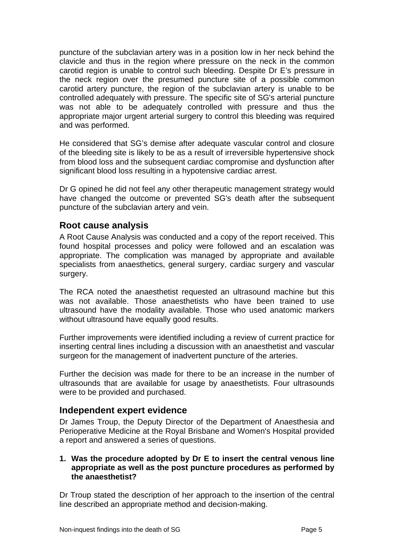puncture of the subclavian artery was in a position low in her neck behind the clavicle and thus in the region where pressure on the neck in the common carotid region is unable to control such bleeding. Despite Dr E's pressure in the neck region over the presumed puncture site of a possible common carotid artery puncture, the region of the subclavian artery is unable to be controlled adequately with pressure. The specific site of SG's arterial puncture was not able to be adequately controlled with pressure and thus the appropriate major urgent arterial surgery to control this bleeding was required and was performed.

He considered that SG's demise after adequate vascular control and closure of the bleeding site is likely to be as a result of irreversible hypertensive shock from blood loss and the subsequent cardiac compromise and dysfunction after significant blood loss resulting in a hypotensive cardiac arrest.

Dr G opined he did not feel any other therapeutic management strategy would have changed the outcome or prevented SG's death after the subsequent puncture of the subclavian artery and vein.

#### **Root cause analysis**

A Root Cause Analysis was conducted and a copy of the report received. This found hospital processes and policy were followed and an escalation was appropriate. The complication was managed by appropriate and available specialists from anaesthetics, general surgery, cardiac surgery and vascular surgery.

The RCA noted the anaesthetist requested an ultrasound machine but this was not available. Those anaesthetists who have been trained to use ultrasound have the modality available. Those who used anatomic markers without ultrasound have equally good results.

Further improvements were identified including a review of current practice for inserting central lines including a discussion with an anaesthetist and vascular surgeon for the management of inadvertent puncture of the arteries.

Further the decision was made for there to be an increase in the number of ultrasounds that are available for usage by anaesthetists. Four ultrasounds were to be provided and purchased.

#### **Independent expert evidence**

Dr James Troup, the Deputy Director of the Department of Anaesthesia and Perioperative Medicine at the Royal Brisbane and Women's Hospital provided a report and answered a series of questions.

#### **1. Was the procedure adopted by Dr E to insert the central venous line appropriate as well as the post puncture procedures as performed by the anaesthetist?**

Dr Troup stated the description of her approach to the insertion of the central line described an appropriate method and decision-making.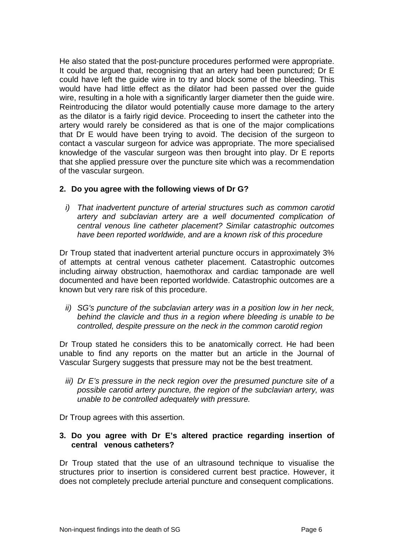He also stated that the post-puncture procedures performed were appropriate. It could be argued that, recognising that an artery had been punctured; Dr E could have left the guide wire in to try and block some of the bleeding. This would have had little effect as the dilator had been passed over the guide wire, resulting in a hole with a significantly larger diameter then the guide wire. Reintroducing the dilator would potentially cause more damage to the artery as the dilator is a fairly rigid device. Proceeding to insert the catheter into the artery would rarely be considered as that is one of the major complications that Dr E would have been trying to avoid. The decision of the surgeon to contact a vascular surgeon for advice was appropriate. The more specialised knowledge of the vascular surgeon was then brought into play. Dr E reports that she applied pressure over the puncture site which was a recommendation of the vascular surgeon.

#### **2. Do you agree with the following views of Dr G?**

*i) That inadvertent puncture of arterial structures such as common carotid artery and subclavian artery are a well documented complication of central venous line catheter placement? Similar catastrophic outcomes have been reported worldwide, and are a known risk of this procedure* 

Dr Troup stated that inadvertent arterial puncture occurs in approximately 3% of attempts at central venous catheter placement. Catastrophic outcomes including airway obstruction, haemothorax and cardiac tamponade are well documented and have been reported worldwide. Catastrophic outcomes are a known but very rare risk of this procedure.

*ii) SG's puncture of the subclavian artery was in a position low in her neck, behind the clavicle and thus in a region where bleeding is unable to be controlled, despite pressure on the neck in the common carotid region* 

Dr Troup stated he considers this to be anatomically correct. He had been unable to find any reports on the matter but an article in the Journal of Vascular Surgery suggests that pressure may not be the best treatment.

- *iii) Dr E's pressure in the neck region over the presumed puncture site of a possible carotid artery puncture, the region of the subclavian artery, was unable to be controlled adequately with pressure.*
- Dr Troup agrees with this assertion.

#### **3. Do you agree with Dr E's altered practice regarding insertion of central venous catheters?**

Dr Troup stated that the use of an ultrasound technique to visualise the structures prior to insertion is considered current best practice. However, it does not completely preclude arterial puncture and consequent complications.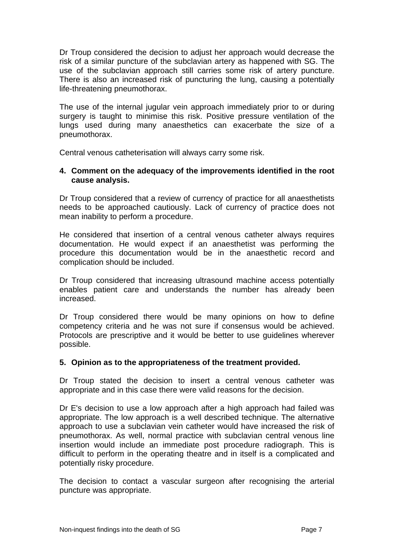Dr Troup considered the decision to adjust her approach would decrease the risk of a similar puncture of the subclavian artery as happened with SG. The use of the subclavian approach still carries some risk of artery puncture. There is also an increased risk of puncturing the lung, causing a potentially life-threatening pneumothorax.

The use of the internal jugular vein approach immediately prior to or during surgery is taught to minimise this risk. Positive pressure ventilation of the lungs used during many anaesthetics can exacerbate the size of a pneumothorax.

Central venous catheterisation will always carry some risk.

#### **4. Comment on the adequacy of the improvements identified in the root cause analysis.**

Dr Troup considered that a review of currency of practice for all anaesthetists needs to be approached cautiously. Lack of currency of practice does not mean inability to perform a procedure.

He considered that insertion of a central venous catheter always requires documentation. He would expect if an anaesthetist was performing the procedure this documentation would be in the anaesthetic record and complication should be included.

Dr Troup considered that increasing ultrasound machine access potentially enables patient care and understands the number has already been increased.

Dr Troup considered there would be many opinions on how to define competency criteria and he was not sure if consensus would be achieved. Protocols are prescriptive and it would be better to use guidelines wherever possible.

#### **5. Opinion as to the appropriateness of the treatment provided.**

Dr Troup stated the decision to insert a central venous catheter was appropriate and in this case there were valid reasons for the decision.

Dr E's decision to use a low approach after a high approach had failed was appropriate. The low approach is a well described technique. The alternative approach to use a subclavian vein catheter would have increased the risk of pneumothorax. As well, normal practice with subclavian central venous line insertion would include an immediate post procedure radiograph. This is difficult to perform in the operating theatre and in itself is a complicated and potentially risky procedure.

The decision to contact a vascular surgeon after recognising the arterial puncture was appropriate.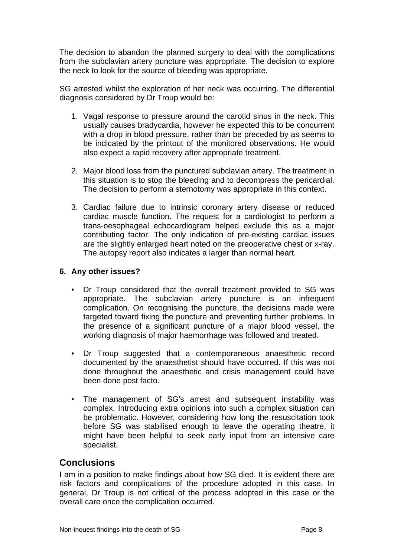The decision to abandon the planned surgery to deal with the complications from the subclavian artery puncture was appropriate. The decision to explore the neck to look for the source of bleeding was appropriate.

SG arrested whilst the exploration of her neck was occurring. The differential diagnosis considered by Dr Troup would be:

- 1. Vagal response to pressure around the carotid sinus in the neck. This usually causes bradycardia, however he expected this to be concurrent with a drop in blood pressure, rather than be preceded by as seems to be indicated by the printout of the monitored observations. He would also expect a rapid recovery after appropriate treatment.
- 2. Major blood loss from the punctured subclavian artery. The treatment in this situation is to stop the bleeding and to decompress the pericardial. The decision to perform a sternotomy was appropriate in this context.
- 3. Cardiac failure due to intrinsic coronary artery disease or reduced cardiac muscle function. The request for a cardiologist to perform a trans-oesophageal echocardiogram helped exclude this as a major contributing factor. The only indication of pre-existing cardiac issues are the slightly enlarged heart noted on the preoperative chest or x-ray. The autopsy report also indicates a larger than normal heart.

#### **6. Any other issues?**

- Dr Troup considered that the overall treatment provided to SG was appropriate. The subclavian artery puncture is an infrequent complication. On recognising the puncture, the decisions made were targeted toward fixing the puncture and preventing further problems. In the presence of a significant puncture of a major blood vessel, the working diagnosis of major haemorrhage was followed and treated.
- Dr Troup suggested that a contemporaneous anaesthetic record documented by the anaesthetist should have occurred. If this was not done throughout the anaesthetic and crisis management could have been done post facto.
- The management of SG's arrest and subsequent instability was complex. Introducing extra opinions into such a complex situation can be problematic. However, considering how long the resuscitation took before SG was stabilised enough to leave the operating theatre, it might have been helpful to seek early input from an intensive care specialist.

## **Conclusions**

I am in a position to make findings about how SG died. It is evident there are risk factors and complications of the procedure adopted in this case. In general, Dr Troup is not critical of the process adopted in this case or the overall care once the complication occurred.